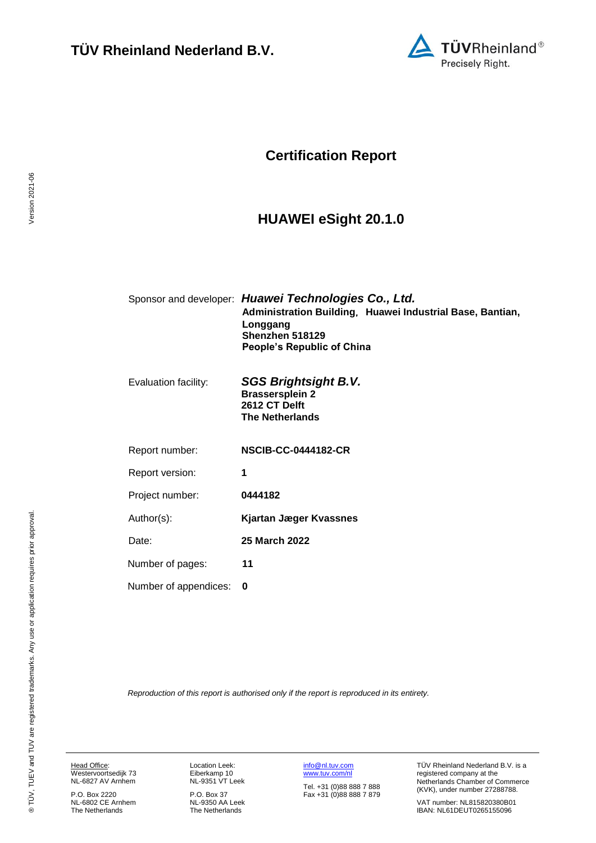

## **Certification Report**

## <span id="page-0-4"></span><span id="page-0-1"></span>**HUAWEI eSight 20.1.0**

<span id="page-0-3"></span><span id="page-0-0"></span>

|                       | Sponsor and developer: Huawei Technologies Co., Ltd.<br>Administration Building, Huawei Industrial Base, Bantian,<br>Longgang<br>Shenzhen 518129<br>People's Republic of China |
|-----------------------|--------------------------------------------------------------------------------------------------------------------------------------------------------------------------------|
| Evaluation facility:  | <b>SGS Brightsight B.V.</b><br><b>Brassersplein 2</b><br>2612 CT Delft<br><b>The Netherlands</b>                                                                               |
| Report number:        | <b>NSCIB-CC-0444182-CR</b>                                                                                                                                                     |
| Report version:       | 1                                                                                                                                                                              |
| Project number:       | 0444182                                                                                                                                                                        |
| Author(s):            | <b>Kjartan Jæger Kvassnes</b>                                                                                                                                                  |
| Date:                 | 25 March 2022                                                                                                                                                                  |
| Number of pages:      | 11                                                                                                                                                                             |
| Number of appendices: | 0                                                                                                                                                                              |
|                       |                                                                                                                                                                                |

<span id="page-0-2"></span>*Reproduction of this report is authorised only if the report is reproduced in its entirety.*

Head Office: Westervoortsedijk 73 NL-6827 AV Arnhem

P.O. Box 2220 NL-6802 CE Arnhem The Netherlands Location Leek: Eiberkamp 10 NL-9351 VT Leek

P.O. Box 37 NL-9350 AA Leek The Netherlands [info@nl.tuv.com](mailto:info@nl.tuv.com) [www.tuv.com/nl](http://www.tuv.com/nl)

Tel. +31 (0)88 888 7 888 Fax +31 (0)88 888 7 879 TÜV Rheinland Nederland B.V. is a registered company at the Netherlands Chamber of Commerce (KVK), under number 27288788.

VAT number: NL815820380B01 IBAN: NL61DEUT0265155096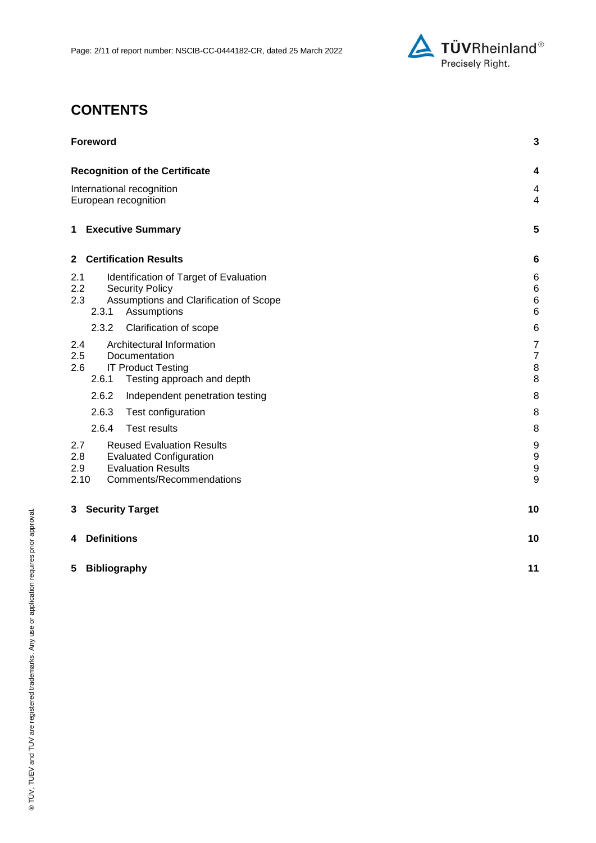

# **CONTENTS**

| <b>Foreword</b>                                                                                                                                          | 3                                          |
|----------------------------------------------------------------------------------------------------------------------------------------------------------|--------------------------------------------|
| <b>Recognition of the Certificate</b>                                                                                                                    | 4                                          |
| International recognition<br>European recognition                                                                                                        | 4<br>$\overline{4}$                        |
| <b>Executive Summary</b><br>1                                                                                                                            | 5                                          |
| <b>Certification Results</b><br>$\mathbf{2}$                                                                                                             | 6                                          |
| 2.1<br>Identification of Target of Evaluation<br>2.2<br><b>Security Policy</b><br>2.3<br>Assumptions and Clarification of Scope<br>2.3.1<br>Assumptions  | 6<br>$\,6$<br>$6\phantom{1}6$<br>$\,6$     |
| 2.3.2<br>Clarification of scope                                                                                                                          | 6                                          |
| Architectural Information<br>2.4<br>2.5<br>Documentation<br><b>IT Product Testing</b><br>2.6<br>2.6.1<br>Testing approach and depth                      | $\overline{7}$<br>$\overline{7}$<br>8<br>8 |
| 2.6.2<br>Independent penetration testing                                                                                                                 | 8                                          |
| 2.6.3<br>Test configuration                                                                                                                              | 8                                          |
| 2.6.4<br><b>Test results</b>                                                                                                                             | 8                                          |
| <b>Reused Evaluation Results</b><br>2.7<br>2.8<br><b>Evaluated Configuration</b><br><b>Evaluation Results</b><br>2.9<br>2.10<br>Comments/Recommendations | 9<br>$\boldsymbol{9}$<br>9<br>9            |
| <b>Security Target</b><br>3                                                                                                                              | 10                                         |
| <b>Definitions</b><br>4                                                                                                                                  | 10                                         |
| <b>Bibliography</b><br>5                                                                                                                                 | 11                                         |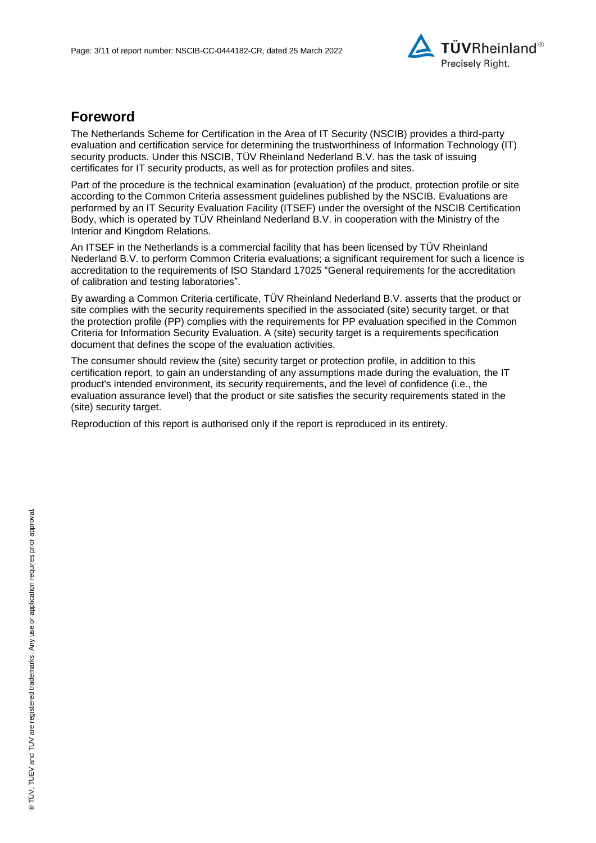

## **Foreword**

The Netherlands Scheme for Certification in the Area of IT Security (NSCIB) provides a third-party evaluation and certification service for determining the trustworthiness of Information Technology (IT) security products. Under this NSCIB, TÜV Rheinland Nederland B.V. has the task of issuing certificates for IT security products, as well as for protection profiles and sites.

Part of the procedure is the technical examination (evaluation) of the product, protection profile or site according to the Common Criteria assessment guidelines published by the NSCIB. Evaluations are performed by an IT Security Evaluation Facility (ITSEF) under the oversight of the NSCIB Certification Body, which is operated by TÜV Rheinland Nederland B.V. in cooperation with the Ministry of the Interior and Kingdom Relations.

An ITSEF in the Netherlands is a commercial facility that has been licensed by TÜV Rheinland Nederland B.V. to perform Common Criteria evaluations; a significant requirement for such a licence is accreditation to the requirements of ISO Standard 17025 "General requirements for the accreditation of calibration and testing laboratories".

By awarding a Common Criteria certificate, TÜV Rheinland Nederland B.V. asserts that the product or site complies with the security requirements specified in the associated (site) security target, or that the protection profile (PP) complies with the requirements for PP evaluation specified in the Common Criteria for Information Security Evaluation. A (site) security target is a requirements specification document that defines the scope of the evaluation activities.

The consumer should review the (site) security target or protection profile, in addition to this certification report, to gain an understanding of any assumptions made during the evaluation, the IT product's intended environment, its security requirements, and the level of confidence (i.e., the evaluation assurance level) that the product or site satisfies the security requirements stated in the (site) security target.

Reproduction of this report is authorised only if the report is reproduced in its entirety.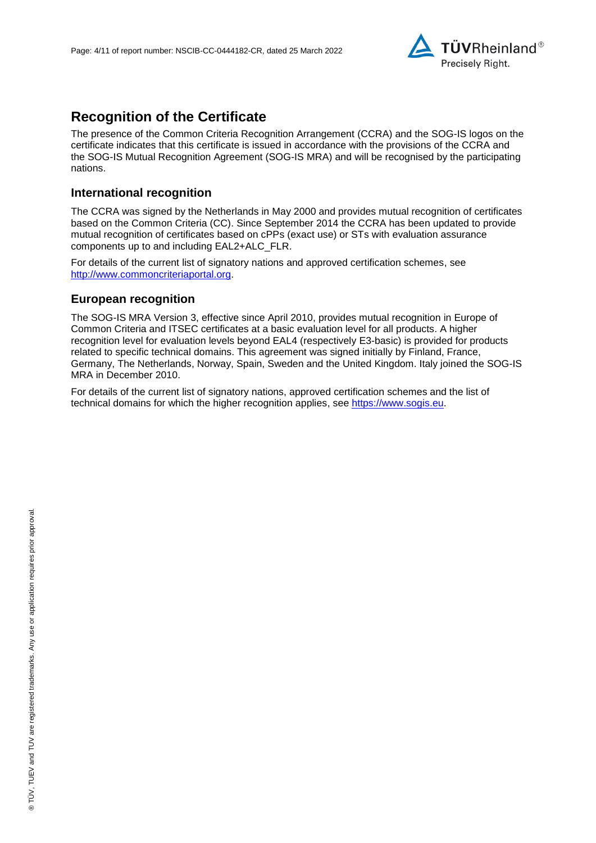

## **Recognition of the Certificate**

The presence of the Common Criteria Recognition Arrangement (CCRA) and the SOG-IS logos on the certificate indicates that this certificate is issued in accordance with the provisions of the CCRA and the SOG-IS Mutual Recognition Agreement (SOG-IS MRA) and will be recognised by the participating nations.

#### **International recognition**

The CCRA was signed by the Netherlands in May 2000 and provides mutual recognition of certificates based on the Common Criteria (CC). Since September 2014 the CCRA has been updated to provide mutual recognition of certificates based on cPPs (exact use) or STs with evaluation assurance components up to and including EAL2+ALC\_FLR.

For details of the current list of signatory nations and approved certification schemes, see [http://www.commoncriteriaportal.org.](http://www.commoncriteriaportal.org/)

#### **European recognition**

The SOG-IS MRA Version 3, effective since April 2010, provides mutual recognition in Europe of Common Criteria and ITSEC certificates at a basic evaluation level for all products. A higher recognition level for evaluation levels beyond EAL4 (respectively E3-basic) is provided for products related to specific technical domains. This agreement was signed initially by Finland, France, Germany, The Netherlands, Norway, Spain, Sweden and the United Kingdom. Italy joined the SOG-IS MRA in December 2010.

For details of the current list of signatory nations, approved certification schemes and the list of technical domains for which the higher recognition applies, see [https://www.sogis.eu.](https://www.sogis.eu/)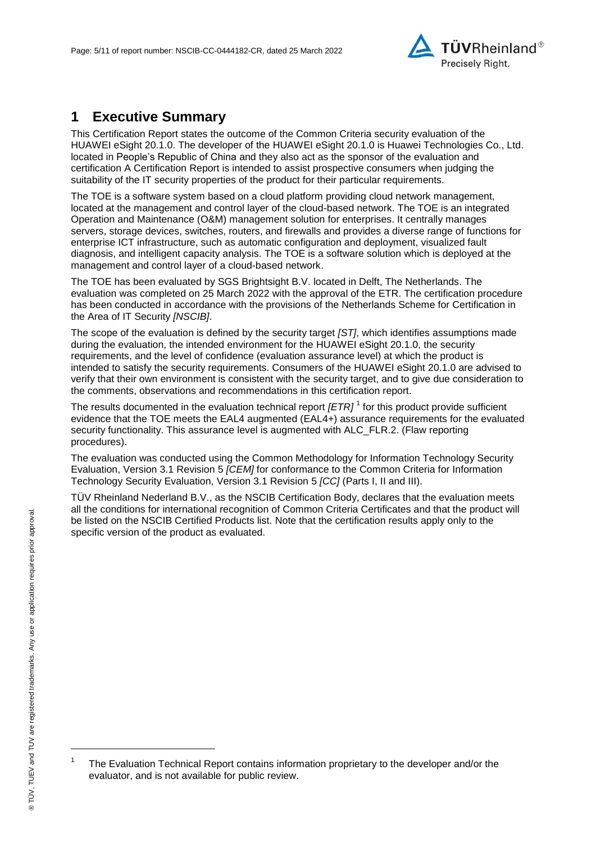

## **1 Executive Summary**

<span id="page-4-2"></span>This Certification Report states the outcome of the Common Criteria security evaluation of the [HUAWEI eSight 20.1.0.](#page-0-3) The developer of the [HUAWEI eSight 20.1.0](#page-0-3) is [Huawei Technologies Co., Ltd.](#page-0-4) located in People's Republic of China and they also act as the sponsor of the evaluation and certification A Certification Report is intended to assist prospective consumers when judging the suitability of the IT security properties of the product for their particular requirements.

The TOE is a software system based on a cloud platform providing cloud network management, located at the management and control layer of the cloud-based network. The TOE is an integrated Operation and Maintenance (O&M) management solution for enterprises. It centrally manages servers, storage devices, switches, routers, and firewalls and provides a diverse range of functions for enterprise ICT infrastructure, such as automatic configuration and deployment, visualized fault diagnosis, and intelligent capacity analysis. The TOE is a software solution which is deployed at the management and control layer of a cloud-based network.

The TOE has been evaluated by SGS Brightsight B.V. located in Delft, The Netherlands. The evaluation was completed on 25 March 2022 with the approval of the ETR. The certification procedure has been conducted in accordance with the provisions of the Netherlands Scheme for Certification in the Area of IT Security *[NSCIB]*.

The scope of the evaluation is defined by the security target *[ST]*, which identifies assumptions made during the evaluation, the intended environment for the [HUAWEI eSight 20.1.0,](#page-0-3) the security requirements, and the level of confidence (evaluation assurance level) at which the product is intended to satisfy the security requirements. Consumers of the [HUAWEI eSight 20.1.0](#page-0-3) are advised to verify that their own environment is consistent with the security target, and to give due consideration to the comments, observations and recommendations in this certification report.

<span id="page-4-0"></span>The results documented in the evaluation technical report *[ETR]* <sup>1</sup> for this product provide sufficient evidence that the TOE meets the EAL4 augmented (EA[L4+](#page-4-0)) assurance requirements for the evaluated security functionality. This assurance level is augmented with ALC\_FLR.2. (Flaw reporting procedures).

<span id="page-4-1"></span>The evaluation was conducted using the Common Methodology for Information Technology Security Evaluation, Version 3.1 Revision 5 *[CEM]* for conformance to the Common Criteria for Information Technology Security Evaluation, Version 3.1 Revision [5](#page-4-1) *[CC]* (Parts I, II and III).

TÜV Rheinland Nederland B.V., as the NSCIB Certification Body, declares that the evaluation meets all the conditions for international recognition of Common Criteria Certificates and that the product will be listed on the NSCIB Certified Products list. Note that the certification results apply only to the specific version of the product as evaluated.

l

<sup>1</sup> The Evaluation Technical Report contains information proprietary to the developer and/or the evaluator, and is not available for public review.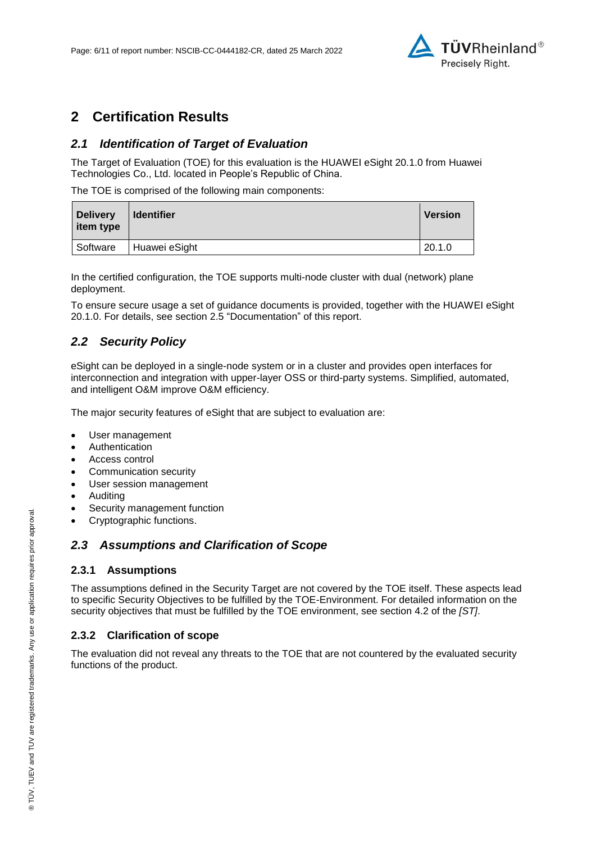

## **2 Certification Results**

### *2.1 Identification of Target of Evaluation*

The Target of Evaluation (TOE) for this evaluation is the [HUAWEI eSight 20.1.0](#page-0-3) from [Huawei](#page-0-4)  [Technologies Co., Ltd.](#page-0-4) located in [People's Republic of China.](#page-4-2)

The TOE is comprised of the following main components:

| <b>Delivery</b><br>item type | <b>Identifier</b> | <b>Version</b> |
|------------------------------|-------------------|----------------|
| Software                     | Huawei eSight     | 20.1.0         |

In the certified configuration, the TOE supports multi-node cluster with dual (network) plane deployment.

To ensure secure usage a set of guidance documents is provided, together with the [HUAWEI eSight](#page-0-3)  [20.1.0.](#page-0-3) For details, see section [2.5](#page-6-0) ["Documentation"](#page-6-0) of this report.

### *2.2 Security Policy*

eSight can be deployed in a single-node system or in a cluster and provides open interfaces for interconnection and integration with upper-layer OSS or third-party systems. Simplified, automated, and intelligent O&M improve O&M efficiency.

The major security features of eSight that are subject to evaluation are:

- User management
- Authentication
- Access control
- Communication security
- User session management
- Auditing
- Security management function
- Cryptographic functions.

#### *2.3 Assumptions and Clarification of Scope*

#### **2.3.1 Assumptions**

The assumptions defined in the Security Target are not covered by the TOE itself. These aspects lead to specific Security Objectives to be fulfilled by the TOE-Environment. For detailed information on the security objectives that must be fulfilled by the TOE environment, see section 4.2 of the *[ST]*.

#### **2.3.2 Clarification of scope**

The evaluation did not reveal any threats to the TOE that are not countered by the evaluated security functions of the product.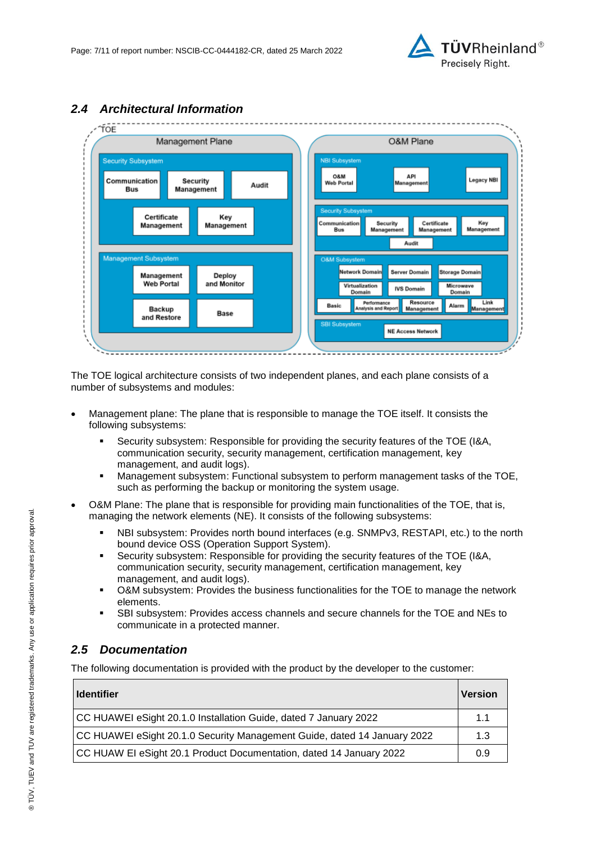



### *2.4 Architectural Information*

The TOE logical architecture consists of two independent planes, and each plane consists of a number of subsystems and modules:

- Management plane: The plane that is responsible to manage the TOE itself. It consists the following subsystems:
	- Security subsystem: Responsible for providing the security features of the TOE (I&A, communication security, security management, certification management, key management, and audit logs).
	- Management subsystem: Functional subsystem to perform management tasks of the TOE, such as performing the backup or monitoring the system usage.
- O&M Plane: The plane that is responsible for providing main functionalities of the TOE, that is, managing the network elements (NE). It consists of the following subsystems:
	- NBI subsystem: Provides north bound interfaces (e.g. SNMPv3, RESTAPI, etc.) to the north bound device OSS (Operation Support System).
	- Security subsystem: Responsible for providing the security features of the TOE (I&A, communication security, security management, certification management, key management, and audit logs).
	- O&M subsystem: Provides the business functionalities for the TOE to manage the network elements.
	- SBI subsystem: Provides access channels and secure channels for the TOE and NEs to communicate in a protected manner.

### <span id="page-6-0"></span>*2.5 Documentation*

The following documentation is provided with the product by the developer to the customer:

| <b>Identifier</b>                                                        | <b>Version</b> |
|--------------------------------------------------------------------------|----------------|
| CC HUAWEI eSight 20.1.0 Installation Guide, dated 7 January 2022         | 1.1            |
| CC HUAWEI eSight 20.1.0 Security Management Guide, dated 14 January 2022 | 1.3            |
| CC HUAW EI eSight 20.1 Product Documentation, dated 14 January 2022      | 0.9            |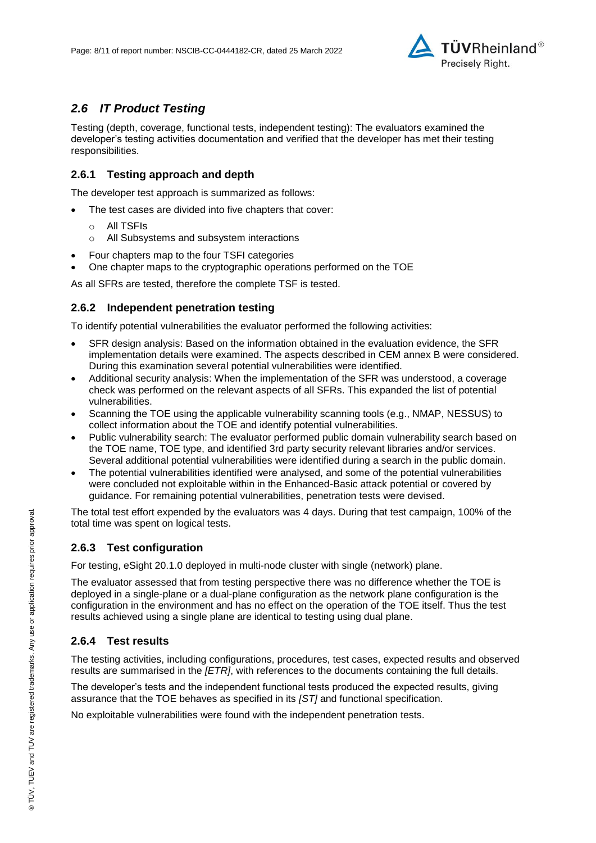

### *2.6 IT Product Testing*

Testing (depth, coverage, functional tests, independent testing): The evaluators examined the developer's testing activities documentation and verified that the developer has met their testing responsibilities.

#### **2.6.1 Testing approach and depth**

The developer test approach is summarized as follows:

- The test cases are divided into five chapters that cover:
	- o All TSFIs
	- o All Subsystems and subsystem interactions
- Four chapters map to the four TSFI categories
- One chapter maps to the cryptographic operations performed on the TOE

As all SFRs are tested, therefore the complete TSF is tested.

#### **2.6.2 Independent penetration testing**

To identify potential vulnerabilities the evaluator performed the following activities:

- SFR design analysis: Based on the information obtained in the evaluation evidence, the SFR implementation details were examined. The aspects described in CEM annex B were considered. During this examination several potential vulnerabilities were identified.
- Additional security analysis: When the implementation of the SFR was understood, a coverage check was performed on the relevant aspects of all SFRs. This expanded the list of potential vulnerabilities.
- Scanning the TOE using the applicable vulnerability scanning tools (e.g., NMAP, NESSUS) to collect information about the TOE and identify potential vulnerabilities.
- Public vulnerability search: The evaluator performed public domain vulnerability search based on the TOE name, TOE type, and identified 3rd party security relevant libraries and/or services. Several additional potential vulnerabilities were identified during a search in the public domain.
- The potential vulnerabilities identified were analysed, and some of the potential vulnerabilities were concluded not exploitable within in the Enhanced-Basic attack potential or covered by guidance. For remaining potential vulnerabilities, penetration tests were devised.

The total test effort expended by the evaluators was 4 days. During that test campaign, 100% of the total time was spent on logical tests.

#### **2.6.3 Test configuration**

For testing, eSight 20.1.0 deployed in multi-node cluster with single (network) plane.

The evaluator assessed that from testing perspective there was no difference whether the TOE is deployed in a single-plane or a dual-plane configuration as the network plane configuration is the configuration in the environment and has no effect on the operation of the TOE itself. Thus the test results achieved using a single plane are identical to testing using dual plane.

#### **2.6.4 Test results**

The testing activities, including configurations, procedures, test cases, expected results and observed results are summarised in the *[ETR]*, with references to the documents containing the full details.

The developer's tests and the independent functional tests produced the expected results, giving assurance that the TOE behaves as specified in its *[ST]* and functional specification.

No exploitable vulnerabilities were found with the independent penetration tests.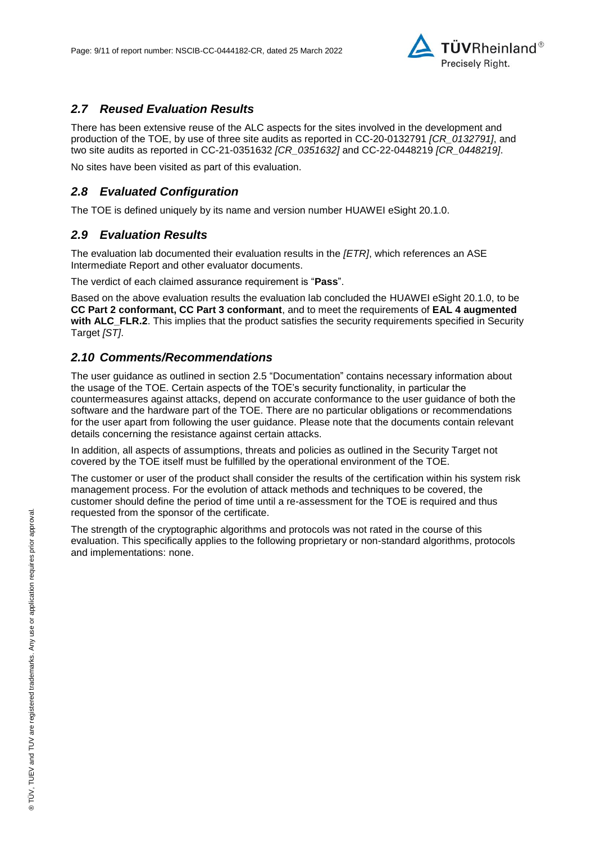

### *2.7 Reused Evaluation Results*

There has been extensive reuse of the ALC aspects for the sites involved in the development and production of the TOE, by use of three site audits as reported in CC-20-0132791 *[CR\_0132791]*, and two site audits as reported in CC-21-0351632 *[CR\_0351632]* and CC-22-0448219 *[CR\_0448219]*.

No sites have been visited as part of this evaluation.

#### *2.8 Evaluated Configuration*

The TOE is defined uniquely by its name and version number [HUAWEI eSight 20.1.0.](#page-0-3)

#### *2.9 Evaluation Results*

The evaluation lab documented their evaluation results in the *[ETR]*, which references an ASE Intermediate Report and other evaluator documents.

The verdict of each claimed assurance requirement is "**Pass**".

Based on the above evaluation results the evaluation lab concluded the [HUAWEI eSight 20.1.0,](#page-0-3) to be **CC Part 2 conformant, CC Part 3 conformant**, and to meet the requirements of **EAL [4](#page-4-0) augmented with ALC\_FLR.2**. This implies that the product satisfies the security requirements specified in Security Target *[ST]*.

### *2.10 Comments/Recommendations*

The user guidance as outlined in section [2.5](#page-6-0) ["Documentation"](#page-6-0) contains necessary information about the usage of the TOE. Certain aspects of the TOE's security functionality, in particular the countermeasures against attacks, depend on accurate conformance to the user guidance of both the software and the hardware part of the TOE. There are no particular obligations or recommendations for the user apart from following the user guidance. Please note that the documents contain relevant details concerning the resistance against certain attacks.

In addition, all aspects of assumptions, threats and policies as outlined in the Security Target not covered by the TOE itself must be fulfilled by the operational environment of the TOE.

The customer or user of the product shall consider the results of the certification within his system risk management process. For the evolution of attack methods and techniques to be covered, the customer should define the period of time until a re-assessment for the TOE is required and thus requested from the sponsor of the certificate.

The strength of the cryptographic algorithms and protocols was not rated in the course of this evaluation. This specifically applies to the following proprietary or non-standard algorithms, protocols and implementations: none.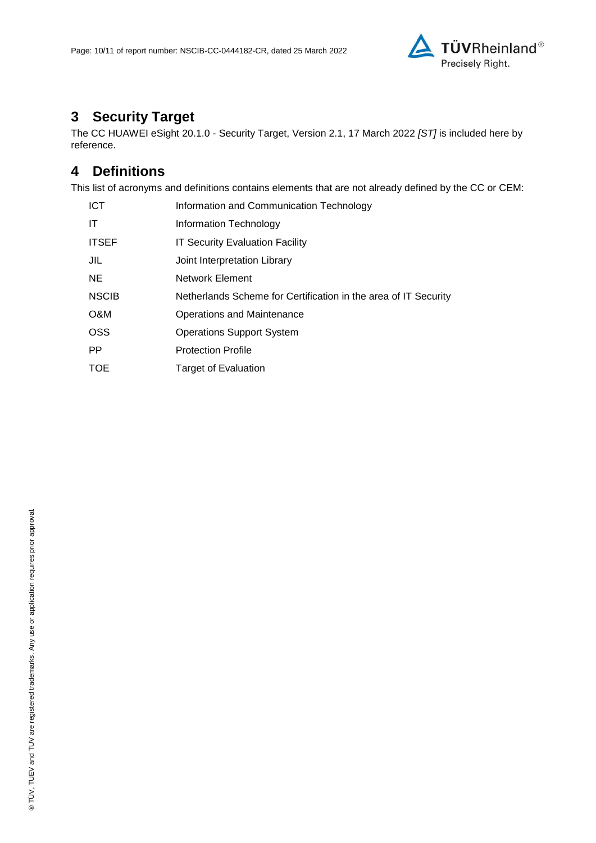

# **3 Security Target**

The CC HUAWEI eSight 20.1.0 - [Security Target, Version 2.1, 17 March 2022](#page-10-0) *[ST]* is included here by reference.

## **4 Definitions**

This list of acronyms and definitions contains elements that are not already defined by the CC or CEM:

| <b>ICT</b>   | Information and Communication Technology                        |
|--------------|-----------------------------------------------------------------|
| IT           | Information Technology                                          |
| <b>ITSEF</b> | <b>IT Security Evaluation Facility</b>                          |
| JIL          | Joint Interpretation Library                                    |
| NE.          | Network Element                                                 |
| <b>NSCIB</b> | Netherlands Scheme for Certification in the area of IT Security |
| O&M          | Operations and Maintenance                                      |
| <b>OSS</b>   | <b>Operations Support System</b>                                |
| <b>PP</b>    | <b>Protection Profile</b>                                       |
| <b>TOE</b>   | Target of Evaluation                                            |